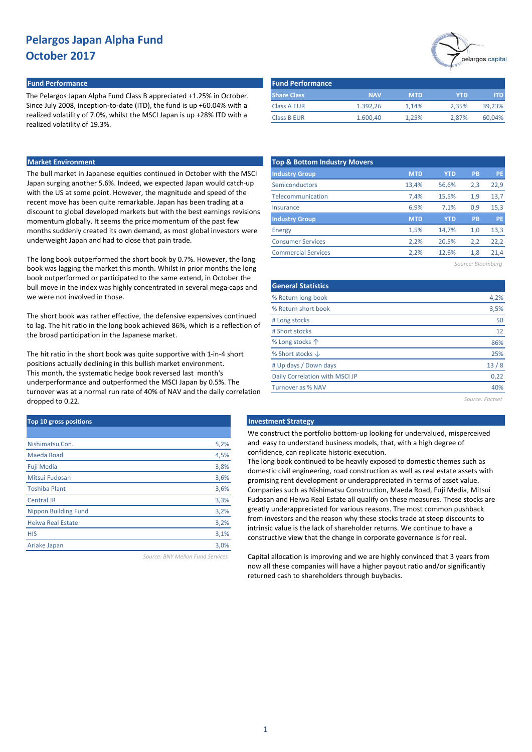#### **Fund Performance Fund Performance**

The Pelargos Japan Alpha Fund Class B appreciated +1.25% in October. Since July 2008, inception-to-date (ITD), the fund is up +60.04% with a realized volatility of 7.0%, whilst the MSCI Japan is up +28% ITD with a realized volatility of 19.3%.

#### **Market Environment**

The bull market in Japanese equities continued in October with the MSCI Japan surging another 5.6%. Indeed, we expected Japan would catch-up with the US at some point. However, the magnitude and speed of the recent move has been quite remarkable. Japan has been trading at a discount to global developed markets but with the best earnings revisions momentum globally. It seems the price momentum of the past few months suddenly created its own demand, as most global investors were underweight Japan and had to close that pain trade.

The long book outperformed the short book by 0.7%. However, the long book was lagging the market this month. Whilst in prior months the long book outperformed or participated to the same extend, in October the bull move in the index was highly concentrated in several mega-caps and we were not involved in those.

The short book was rather effective, the defensive expensives continued to lag. The hit ratio in the long book achieved 86%, which is a reflection of the broad participation in the Japanese market.

The hit ratio in the short book was quite supportive with 1-in-4 short positions actually declining in this bullish market environment. This month, the systematic hedge book reversed last month's underperformance and outperformed the MSCI Japan by 0.5%. The turnover was at a normal run rate of 40% of NAV and the daily correlation dropped to 0.22.

| Top 10 gross positions      |      |
|-----------------------------|------|
|                             |      |
| Nishimatsu Con.             | 5,2% |
| Maeda Road                  | 4,5% |
| <b>Fuji Media</b>           | 3,8% |
| Mitsui Fudosan              | 3,6% |
| <b>Toshiba Plant</b>        | 3,6% |
| <b>Central JR</b>           | 3,3% |
| <b>Nippon Building Fund</b> | 3,2% |
| <b>Heiwa Real Estate</b>    | 3,2% |
| <b>HIS</b>                  | 3,1% |
| Ariake Japan                | 3,0% |
|                             |      |

*Source: BNY Mellon Fund Services*



| <b>Fund Performance</b> |            |            |            |        |
|-------------------------|------------|------------|------------|--------|
| <b>Share Class</b>      | <b>NAV</b> | <b>MTD</b> | <b>YTD</b> | ITD.   |
| <b>Class A EUR</b>      | 1.392.26   | 1.14%      | 2.35%      | 39,23% |
| <b>Class B EUR</b>      | 1.600,40   | 1.25%      | 2.87%      | 60.04% |

| <b>Top &amp; Bottom Industry Movers</b> |            |            |     |           |
|-----------------------------------------|------------|------------|-----|-----------|
| <b>Industry Group</b>                   | <b>MTD</b> | <b>YTD</b> | PB  | <b>PE</b> |
| Semiconductors                          | 13,4%      | 56,6%      | 2,3 | 22,9      |
| Telecommunication                       | 7,4%       | 15,5%      | 1,9 | 13,7      |
| Insurance                               | 6,9%       | 7.1%       | 0.9 | 15,3      |
| <b>Industry Group</b>                   | <b>MTD</b> | <b>YTD</b> | PB  | PE        |
| Energy                                  | 1,5%       | 14,7%      | 1,0 | 13,3      |
| <b>Consumer Services</b>                | 2,2%       | 20,5%      | 2,2 | 22,2      |
| <b>Commercial Services</b>              | 2,2%       | 12,6%      | 1,8 | 21,4      |
|                                         |            |            |     |           |

*Source: Bloomberg*

| <b>General Statistics</b>      |      |
|--------------------------------|------|
| % Return long book             | 4,2% |
| % Return short book            | 3,5% |
| # Long stocks                  | 50   |
| # Short stocks                 | 12   |
| % Long stocks 个                | 86%  |
| % Short stocks $\downarrow$    | 25%  |
| # Up days / Down days          | 13/8 |
| Daily Correlation with MSCI JP | 0,22 |
| <b>Turnover as % NAV</b>       | 40%  |
|                                |      |

*Source: Factset*

#### **Top 10 gross positions Investment Strategy**

We construct the portfolio bottom-up looking for undervalued, misperceived and easy to understand business models, that, with a high degree of confidence, can replicate historic execution.

The long book continued to be heavily exposed to domestic themes such as domestic civil engineering, road construction as well as real estate assets with promising rent development or underappreciated in terms of asset value. Companies such as Nishimatsu Construction, Maeda Road, Fuji Media, Mitsui Fudosan and Heiwa Real Estate all qualify on these measures. These stocks are greatly underappreciated for various reasons. The most common pushback from investors and the reason why these stocks trade at steep discounts to intrinsic value is the lack of shareholder returns. We continue to have a constructive view that the change in corporate governance is for real.

Capital allocation is improving and we are highly convinced that 3 years from now all these companies will have a higher payout ratio and/or significantly returned cash to shareholders through buybacks.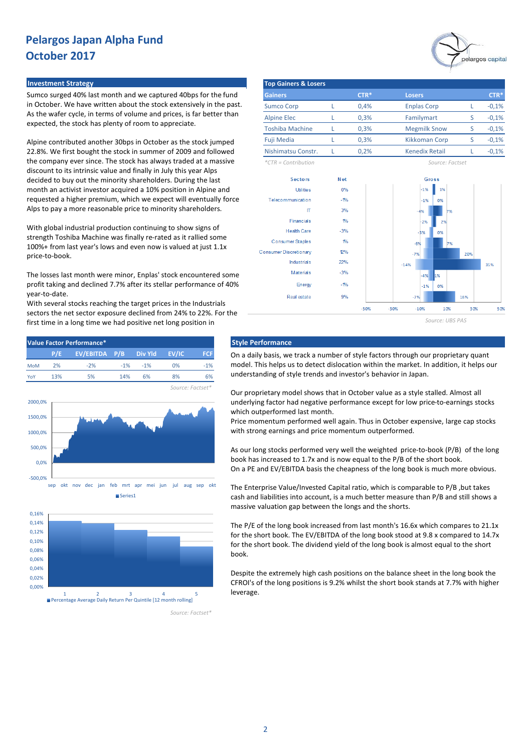#### **Investment Strategy**

Sumco surged 40% last month and we captured 40bps for the fund in October. We have written about the stock extensively in the past. As the wafer cycle, in terms of volume and prices, is far better than expected, the stock has plenty of room to appreciate.

Alpine contributed another 30bps in October as the stock jumped 22.8%. We first bought the stock in summer of 2009 and followed the company ever since. The stock has always traded at a massive discount to its intrinsic value and finally in July this year Alps decided to buy out the minority shareholders. During the last month an activist investor acquired a 10% position in Alpine and requested a higher premium, which we expect will eventually force Alps to pay a more reasonable price to minority shareholders.

With global industrial production continuing to show signs of strength Toshiba Machine was finally re-rated as it rallied some 100%+ from last year's lows and even now is valued at just 1.1x price-to-book.

The losses last month were minor, Enplas' stock encountered some profit taking and declined 7.7% after its stellar performance of 40% year-to-date.

With several stocks reaching the target prices in the Industrials sectors the net sector exposure declined from 24% to 22%. For the first time in a long time we had positive net long position in



1 2 3 4 5 Percentage Average Daily Return Per Quintile [12 month rolling]

*Source: Factset\**

| <b>Top Gainers &amp; Losers</b> |  |        |                       |   |         |  |  |  |  |  |  |
|---------------------------------|--|--------|-----------------------|---|---------|--|--|--|--|--|--|
| <b>Gainers</b>                  |  | $CTR*$ | <b>Losers</b>         |   | $CTR*$  |  |  |  |  |  |  |
| <b>Sumco Corp</b>               |  | 0.4%   | <b>Enplas Corp</b>    |   | $-0,1%$ |  |  |  |  |  |  |
| <b>Alpine Elec</b>              |  | 0.3%   | Familymart            | S | $-0,1%$ |  |  |  |  |  |  |
| <b>Toshiba Machine</b>          |  | 0.3%   | <b>Megmilk Snow</b>   | S | $-0,1%$ |  |  |  |  |  |  |
| <b>Fuji Media</b>               |  | 0.3%   | <b>Kikkoman Corp</b>  |   | $-0,1%$ |  |  |  |  |  |  |
| Nishimatsu Constr.              |  | 0.2%   | <b>Kenedix Retail</b> |   | $-0,1%$ |  |  |  |  |  |  |
| $*CTR = Contribution$           |  |        | Source: Factset       |   |         |  |  |  |  |  |  |



On a daily basis, we track a number of style factors through our proprietary quant model. This helps us to detect dislocation within the market. In addition, it helps our understanding of style trends and investor's behavior in Japan.

Our proprietary model shows that in October value as a style stalled. Almost all underlying factor had negative performance except for low price-to-earnings stocks which outperformed last month.

Price momentum performed well again. Thus in October expensive, large cap stocks with strong earnings and price momentum outperformed.

As our long stocks performed very well the weighted price-to-book (P/B) of the long book has increased to 1.7x and is now equal to the P/B of the short book. On a PE and EV/EBITDA basis the cheapness of the long book is much more obvious.

The Enterprise Value/Invested Capital ratio, which is comparable to P/B ,but takes cash and liabilities into account, is a much better measure than P/B and still shows a massive valuation gap between the longs and the shorts.

The P/E of the long book increased from last month's 16.6x which compares to 21.1x for the short book. The EV/EBITDA of the long book stood at 9.8 x compared to 14.7x for the short book. The dividend yield of the long book is almost equal to the short book.

Despite the extremely high cash positions on the balance sheet in the long book the CFROI's of the long positions is 9.2% whilst the short book stands at 7.7% with higher leverage.

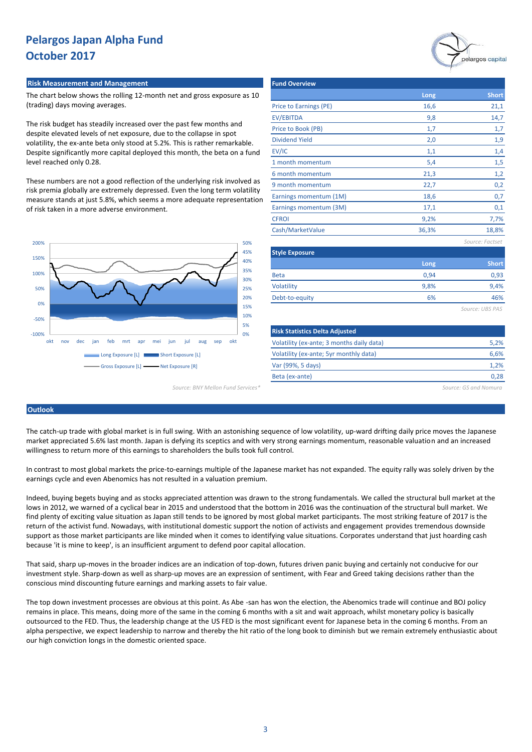#### **Risk Measurement and Management Fund Overview Adventure Community Punch Overview** Fund

The chart below shows the rolling 12-month net and gross exposure as 10 (trading) days moving averages.

The risk budget has steadily increased over the past few months and despite elevated levels of net exposure, due to the collapse in spot volatility, the ex-ante beta only stood at 5.2%. This is rather remarkable. Despite significantly more capital deployed this month, the beta on a fund level reached only 0.28.

These numbers are not a good reflection of the underlying risk involved as risk premia globally are extremely depressed. Even the long term volatility measure stands at just 5.8%, which seems a more adequate representation of risk taken in a more adverse environment.



*Source: BNY Mellon Fund Services\* Source: GS and Nomura*

|                                                                                             |       | pelargos capital |
|---------------------------------------------------------------------------------------------|-------|------------------|
| <b>Fund Overview</b>                                                                        |       |                  |
|                                                                                             | Long  | <b>Short</b>     |
| Price to Earnings (PE)                                                                      | 16,6  | 21,1             |
| <b>EV/EBITDA</b>                                                                            | 9,8   | 14,7             |
| Price to Book (PB)                                                                          | 1,7   | 1,7              |
| <b>Dividend Yield</b>                                                                       | 2,0   | 1,9              |
| EV/IC                                                                                       | 1,1   | 1,4              |
| 1 month momentum                                                                            | 5,4   | 1,5              |
| 6 month momentum                                                                            | 21,3  | 1,2              |
| 9 month momentum                                                                            | 22,7  | 0,2              |
| Earnings momentum (1M)                                                                      | 18,6  | 0,7              |
| Earnings momentum (3M)                                                                      | 17,1  | 0,1              |
| <b>CFROI</b>                                                                                | 9,2%  | 7,7%             |
| Cash/MarketValue                                                                            | 36,3% | 18,8%            |
|                                                                                             |       | Source: Factset  |
| <b>Style Exposure</b>                                                                       |       |                  |
|                                                                                             | Long  | <b>Short</b>     |
| <b>Beta</b>                                                                                 | 0,94  | 0,93             |
| Volatility                                                                                  | 9,8%  | 9,4%             |
| Debt-to-equity                                                                              | 6%    | 46%              |
|                                                                                             |       | Source: UBS PAS  |
| <b>Risk Statistics Delta Adjusted</b>                                                       |       |                  |
| $\Delta$ for the definition of the computation of the computation of the following $\Delta$ |       | $F = 20$         |

| <b>Risk Statistics Delta Adjusted</b>     |      |
|-------------------------------------------|------|
| Volatility (ex-ante; 3 months daily data) | 5.2% |
| Volatility (ex-ante; 5yr monthly data)    | 6.6% |
| Var (99%, 5 days)                         | 1,2% |
| Beta (ex-ante)                            | 0.28 |
|                                           |      |

## **Outlook**

The catch-up trade with global market is in full swing. With an astonishing sequence of low volatility, up-ward drifting daily price moves the Japanese market appreciated 5.6% last month. Japan is defying its sceptics and with very strong earnings momentum, reasonable valuation and an increased willingness to return more of this earnings to shareholders the bulls took full control.

In contrast to most global markets the price-to-earnings multiple of the Japanese market has not expanded. The equity rally was solely driven by the earnings cycle and even Abenomics has not resulted in a valuation premium.

Indeed, buying begets buying and as stocks appreciated attention was drawn to the strong fundamentals. We called the structural bull market at the lows in 2012, we warned of a cyclical bear in 2015 and understood that the bottom in 2016 was the continuation of the structural bull market. We find plenty of exciting value situation as Japan still tends to be ignored by most global market participants. The most striking feature of 2017 is the return of the activist fund. Nowadays, with institutional domestic support the notion of activists and engagement provides tremendous downside support as those market participants are like minded when it comes to identifying value situations. Corporates understand that just hoarding cash because 'it is mine to keep', is an insufficient argument to defend poor capital allocation.

That said, sharp up-moves in the broader indices are an indication of top-down, futures driven panic buying and certainly not conducive for our investment style. Sharp-down as well as sharp-up moves are an expression of sentiment, with Fear and Greed taking decisions rather than the conscious mind discounting future earnings and marking assets to fair value.

The top down investment processes are obvious at this point. As Abe -san has won the election, the Abenomics trade will continue and BOJ policy remains in place. This means, doing more of the same in the coming 6 months with a sit and wait approach, whilst monetary policy is basically outsourced to the FED. Thus, the leadership change at the US FED is the most significant event for Japanese beta in the coming 6 months. From an alpha perspective, we expect leadership to narrow and thereby the hit ratio of the long book to diminish but we remain extremely enthusiastic about our high conviction longs in the domestic oriented space.

3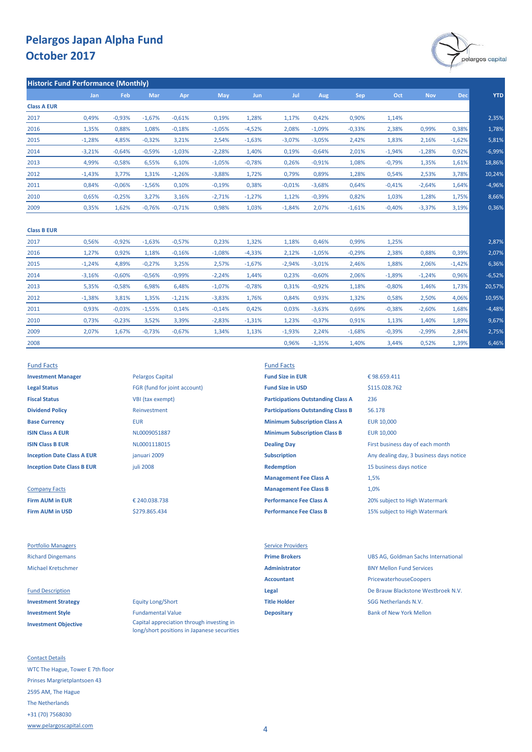

| <b>Historic Fund Performance (Monthly)</b> |            |          |          |          |          |            |          |          |            |          |            |            |
|--------------------------------------------|------------|----------|----------|----------|----------|------------|----------|----------|------------|----------|------------|------------|
|                                            | <b>Jan</b> | Feb      | Mar      | Apr      | May      | <b>Jun</b> | Jul      | Aug      | <b>Sep</b> | Oct      | <b>Nov</b> | <b>Dec</b> |
| <b>Class A EUR</b>                         |            |          |          |          |          |            |          |          |            |          |            |            |
| 2017                                       | 0,49%      | $-0,93%$ | $-1,67%$ | $-0,61%$ | 0,19%    | 1,28%      | 1,17%    | 0,42%    | 0,90%      | 1,14%    |            |            |
| 2016                                       | 1,35%      | 0,88%    | 1,08%    | $-0,18%$ | $-1,05%$ | $-4,52%$   | 2,08%    | $-1,09%$ | $-0,33%$   | 2,38%    | 0,99%      | 0,38%      |
| 2015                                       | $-1,28%$   | 4,85%    | $-0,32%$ | 3,21%    | 2,54%    | $-1,63%$   | $-3,07%$ | $-3,05%$ | 2,42%      | 1,83%    | 2,16%      | $-1,62%$   |
| 2014                                       | $-3,21%$   | $-0,64%$ | $-0,59%$ | $-1,03%$ | $-2,28%$ | 1,40%      | 0,19%    | $-0,64%$ | 2,01%      | $-1,94%$ | $-1,28%$   | 0,92%      |
| 2013                                       | 4,99%      | $-0,58%$ | 6,55%    | 6,10%    | $-1,05%$ | $-0,78%$   | 0,26%    | $-0.91%$ | 1,08%      | $-0,79%$ | 1,35%      | 1,61%      |
| 2012                                       | $-1,43%$   | 3,77%    | 1,31%    | $-1,26%$ | $-3,88%$ | 1,72%      | 0,79%    | 0,89%    | 1,28%      | 0,54%    | 2,53%      | 3,78%      |
| 2011                                       | 0,84%      | $-0,06%$ | $-1,56%$ | 0,10%    | $-0,19%$ | 0,38%      | $-0.01%$ | $-3,68%$ | 0,64%      | $-0,41%$ | $-2,64%$   | 1,64%      |
| 2010                                       | 0,65%      | $-0,25%$ | 3,27%    | 3,16%    | $-2,71%$ | $-1,27%$   | 1,12%    | $-0,39%$ | 0,82%      | 1,03%    | 1,28%      | 1,75%      |
| 2009                                       | 0,35%      | 1,62%    | $-0,76%$ | $-0,71%$ | 0,98%    | 1,03%      | $-1,84%$ | 2,07%    | $-1,61%$   | $-0,40%$ | $-3,37%$   | 3,19%      |

| <b>Class B EUR</b> |          |          |          |          |          |          |          |          |          |          |          |          |          |
|--------------------|----------|----------|----------|----------|----------|----------|----------|----------|----------|----------|----------|----------|----------|
| 2017               | 0,56%    | $-0,92%$ | $-1,63%$ | $-0,57%$ | 0,23%    | 1,32%    | 1,18%    | 0,46%    | 0,99%    | 1,25%    |          |          | 2,87%    |
| 2016               | 1,27%    | 0,92%    | 1,18%    | $-0,16%$ | $-1,08%$ | $-4,33%$ | 2,12%    | $-1,05%$ | $-0,29%$ | 2,38%    | 0,88%    | 0,39%    | 2,07%    |
| 2015               | $-1,24%$ | 4,89%    | $-0,27%$ | 3,25%    | 2,57%    | $-1,67%$ | $-2,94%$ | $-3,01%$ | 2,46%    | 1,88%    | 2,06%    | $-1,42%$ | 6,36%    |
| 2014               | $-3,16%$ | $-0,60%$ | $-0,56%$ | $-0,99%$ | $-2,24%$ | 1,44%    | 0,23%    | $-0,60%$ | 2,06%    | $-1,89%$ | $-1,24%$ | 0,96%    | $-6,52%$ |
| 2013               | 5,35%    | $-0,58%$ | 6,98%    | 6,48%    | $-1,07%$ | $-0,78%$ | 0,31%    | $-0,92%$ | 1,18%    | $-0,80%$ | 1,46%    | 1,73%    | 20,57%   |
| 2012               | $-1,38%$ | 3,81%    | 1,35%    | $-1,21%$ | $-3,83%$ | 1,76%    | 0,84%    | 0,93%    | 1,32%    | 0,58%    | 2,50%    | 4,06%    | 10,95%   |
| 2011               | 0,93%    | $-0,03%$ | $-1,55%$ | 0,14%    | $-0,14%$ | 0,42%    | 0,03%    | $-3,63%$ | 0,69%    | $-0,38%$ | $-2,60%$ | 1,68%    | $-4,48%$ |
| 2010               | 0,73%    | $-0,23%$ | 3,52%    | 3,39%    | $-2,83%$ | $-1,31%$ | 1,23%    | $-0,37%$ | 0,91%    | 1,13%    | 1,40%    | 1,89%    | 9,67%    |
| 2009               | 2,07%    | 1,67%    | $-0,73%$ | $-0.67%$ | 1,34%    | 1,13%    | $-1,93%$ | 2,24%    | $-1,68%$ | $-0,39%$ | $-2,99%$ | 2,84%    | 2,75%    |
| 2008               |          |          |          |          |          |          | 0,96%    | $-1,35%$ | 1,40%    | 3,44%    | 0,52%    | 1,39%    | 6,46%    |

**Legal Status** FGR (fund for joint account) **Fund Size in USD Fiscal Status** VBI (tax exempt) **Dividend Policy** Reinvestment

Portfolio Managers **Service Providers** Service Providers

**Investment Objective**

Contact Details WTC The Hague, Tower E 7th floor Prinses Margrietplantsoen 43 2595 AM, The Hague The Netherlands +31 (70) 7568030 [www.pelargoscapital.com](http://www.pelargoscapital.com/)

**Investment Manager Pelargos Capital <b>Fund Size in EUR** januari 2009 juli 2008

> \$279.865.434 € 240.038.738

**Investment Strategy Equity Long/Short Title Holder Title Holder** SGG Netherlands N.V. **Investment Style Depositary Depositary** Bank of New York Mellon Bank of New York Mellon Capital appreciation through investing in long/short positions in Japanese securities

#### Fund Facts Fund Facts

**Base Currency <b>EUR** EUR **EUR EUR Minimum Subscription Class A** EUR 10,000 **ISIN Class A EUR EUR EUR 10,000 MINIMUM MINIMUM MINIMUM MINIMUM Class B EUR** 10,000 **ISIN Class B EUR ISIN Class B EUR CLASS ARE ISIN CLASS CONTAINED A CONTAINING DAY Dealing Day First business day of each month Inception Date Class A EUR Subscription Subscription** Any dealing day, 3 business days notice **Inception Date Class B EUR** *Redemption* **Redemption** 15 business days notice **Management Fee Class A** Company Facts **Management Fee Class B Firm AUM in EUR Performance Fee Class A** 20% subject to High Watermark **Firm AUM in USD Performance Fee Class B** 15% subject to High Watermark **Participations Outstanding Class B Participations Outstanding Class A**

# 1,0% € 98.659.411 236 56.178 1,5% \$115.028.762

Richard Dingemans **Prime Brokers** UBS AG, Goldman Sachs International Michael Kretschmer **Administrator** BNY Mellon Fund Services Accountant **Accountant** PricewaterhouseCoopers Fund Description **Legal** De Brauw Blackstone Westbroek N.V.